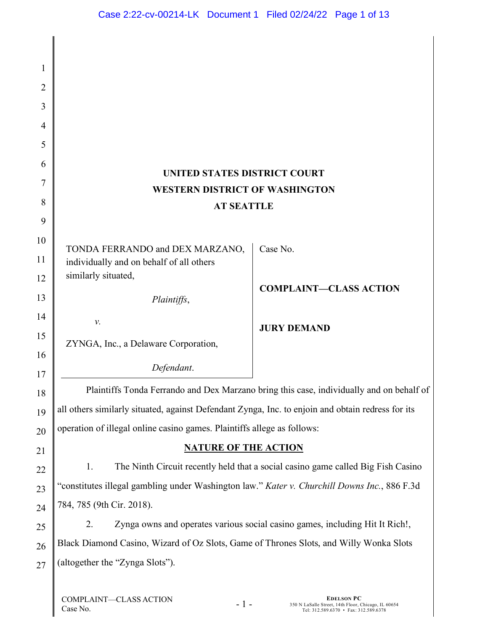| 1              |                                                                                                   |                               |  |
|----------------|---------------------------------------------------------------------------------------------------|-------------------------------|--|
| $\overline{2}$ |                                                                                                   |                               |  |
| 3              |                                                                                                   |                               |  |
| 4              |                                                                                                   |                               |  |
| 5              |                                                                                                   |                               |  |
| 6              |                                                                                                   |                               |  |
| 7              | UNITED STATES DISTRICT COURT<br><b>WESTERN DISTRICT OF WASHINGTON</b>                             |                               |  |
| 8              | <b>AT SEATTLE</b>                                                                                 |                               |  |
| 9              |                                                                                                   |                               |  |
| 10             | TONDA FERRANDO and DEX MARZANO,                                                                   | Case No.                      |  |
| 11             | individually and on behalf of all others                                                          |                               |  |
| 12             | similarly situated,                                                                               |                               |  |
| 13             | Plaintiffs,                                                                                       | <b>COMPLAINT-CLASS ACTION</b> |  |
| 14             | $\nu$ .                                                                                           |                               |  |
| 15             | ZYNGA, Inc., a Delaware Corporation,                                                              | <b>JURY DEMAND</b>            |  |
| 16             |                                                                                                   |                               |  |
| 17             | Defendant.                                                                                        |                               |  |
| 18             | Plaintiffs Tonda Ferrando and Dex Marzano bring this case, individually and on behalf of          |                               |  |
| 19             | all others similarly situated, against Defendant Zynga, Inc. to enjoin and obtain redress for its |                               |  |
| 20             | operation of illegal online casino games. Plaintiffs allege as follows:                           |                               |  |
| 21             | <b>NATURE OF THE ACTION</b>                                                                       |                               |  |
| 22             | The Ninth Circuit recently held that a social casino game called Big Fish Casino<br>1.            |                               |  |
| 23             | "constitutes illegal gambling under Washington law." Kater v. Churchill Downs Inc., 886 F.3d      |                               |  |
| 24             | 784, 785 (9th Cir. 2018).                                                                         |                               |  |
| 25             | Zynga owns and operates various social casino games, including Hit It Rich!,<br>2.                |                               |  |
| 26             | Black Diamond Casino, Wizard of Oz Slots, Game of Thrones Slots, and Willy Wonka Slots            |                               |  |
| 27             | (altogether the "Zynga Slots").                                                                   |                               |  |
|                |                                                                                                   |                               |  |

 $-1 -$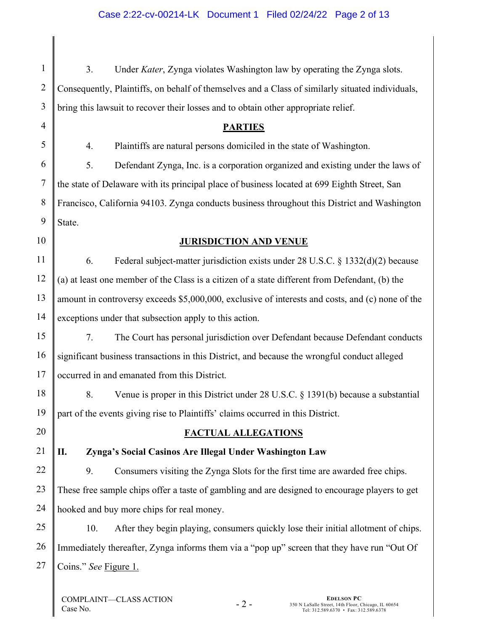1 2 3 3. Under *Kater*, Zynga violates Washington law by operating the Zynga slots. Consequently, Plaintiffs, on behalf of themselves and a Class of similarly situated individuals, bring this lawsuit to recover their losses and to obtain other appropriate relief.

# **PARTIES**

4. Plaintiffs are natural persons domiciled in the state of Washington.

5. Defendant Zynga, Inc. is a corporation organized and existing under the laws of the state of Delaware with its principal place of business located at 699 Eighth Street, San Francisco, California 94103. Zynga conducts business throughout this District and Washington State.

10

13

4

5

6

7

8

9

# **JURISDICTION AND VENUE**

11 12 14 6. Federal subject-matter jurisdiction exists under 28 U.S.C. § 1332(d)(2) because (a) at least one member of the Class is a citizen of a state different from Defendant, (b) the amount in controversy exceeds \$5,000,000, exclusive of interests and costs, and (c) none of the exceptions under that subsection apply to this action.

15 16 17 7. The Court has personal jurisdiction over Defendant because Defendant conducts significant business transactions in this District, and because the wrongful conduct alleged occurred in and emanated from this District.

8. Venue is proper in this District under 28 U.S.C. § 1391(b) because a substantial part of the events giving rise to Plaintiffs' claims occurred in this District.

# **FACTUAL ALLEGATIONS**

21

18

19

20

# **II. Zynga's Social Casinos Are Illegal Under Washington Law**

22 23 24 9. Consumers visiting the Zynga Slots for the first time are awarded free chips. These free sample chips offer a taste of gambling and are designed to encourage players to get hooked and buy more chips for real money.

25 26 27 10. After they begin playing, consumers quickly lose their initial allotment of chips. Immediately thereafter, Zynga informs them via a "pop up" screen that they have run "Out Of Coins." *See* Figure 1.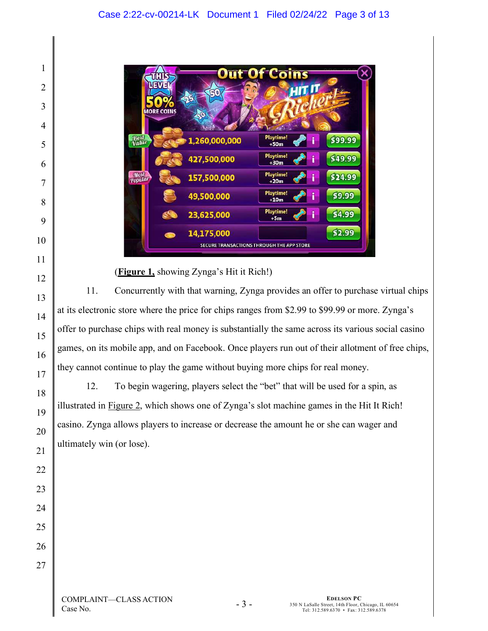

# (**Figure 1,** showing Zynga's Hit it Rich!)

11. Concurrently with that warning, Zynga provides an offer to purchase virtual chips at its electronic store where the price for chips ranges from \$2.99 to \$99.99 or more. Zynga's offer to purchase chips with real money is substantially the same across its various social casino games, on its mobile app, and on Facebook. Once players run out of their allotment of free chips, they cannot continue to play the game without buying more chips for real money.

12. To begin wagering, players select the "bet" that will be used for a spin, as illustrated in Figure 2, which shows one of Zynga's slot machine games in the Hit It Rich! casino. Zynga allows players to increase or decrease the amount he or she can wager and ultimately win (or lose).

- 3 -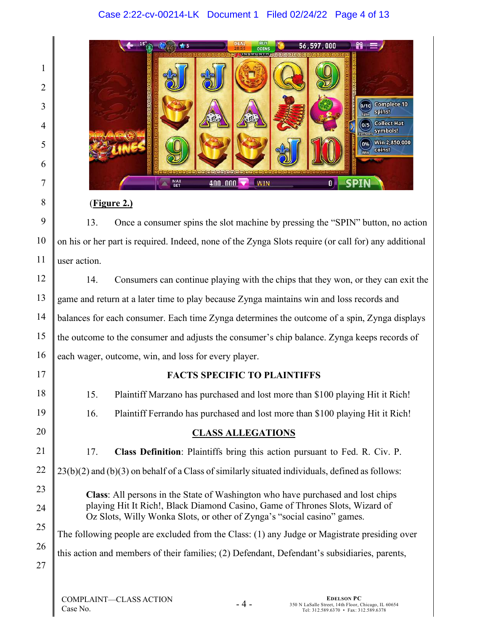# Case 2:22-cv-00214-LK Document 1 Filed 02/24/22 Page 4 of 13



### (**Figure 2.)**

13. Once a consumer spins the slot machine by pressing the "SPIN" button, no action on his or her part is required. Indeed, none of the Zynga Slots require (or call for) any additional user action.

14. Consumers can continue playing with the chips that they won, or they can exit the game and return at a later time to play because Zynga maintains win and loss records and balances for each consumer. Each time Zynga determines the outcome of a spin, Zynga displays the outcome to the consumer and adjusts the consumer's chip balance. Zynga keeps records of each wager, outcome, win, and loss for every player.

# **FACTS SPECIFIC TO PLAINTIFFS**

15. Plaintiff Marzano has purchased and lost more than \$100 playing Hit it Rich! 16. Plaintiff Ferrando has purchased and lost more than \$100 playing Hit it Rich! **CLASS ALLEGATIONS** 17. **Class Definition**: Plaintiffs bring this action pursuant to Fed. R. Civ. P. 23(b)(2) and (b)(3) on behalf of a Class of similarly situated individuals, defined as follows: **Class**: All persons in the State of Washington who have purchased and lost chips playing Hit It Rich!, Black Diamond Casino, Game of Thrones Slots, Wizard of Oz Slots, Willy Wonka Slots, or other of Zynga's "social casino" games. The following people are excluded from the Class: (1) any Judge or Magistrate presiding over this action and members of their families; (2) Defendant, Defendant's subsidiaries, parents,

- 4 -

1

**EDELSON PC**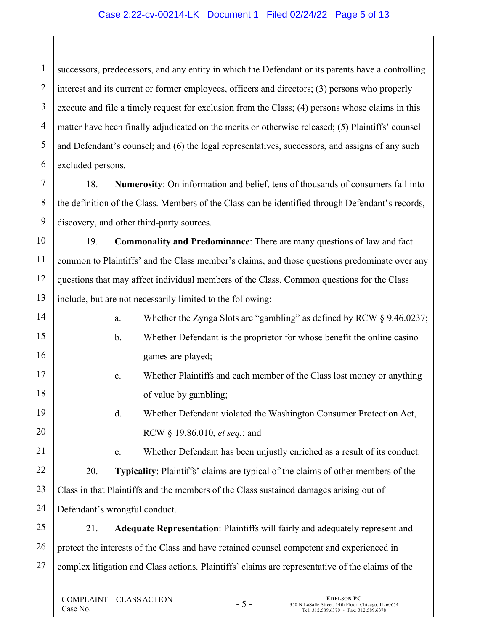### Case 2:22-cv-00214-LK Document 1 Filed 02/24/22 Page 5 of 13

1 2 3 4 5 6 successors, predecessors, and any entity in which the Defendant or its parents have a controlling interest and its current or former employees, officers and directors; (3) persons who properly execute and file a timely request for exclusion from the Class; (4) persons whose claims in this matter have been finally adjudicated on the merits or otherwise released; (5) Plaintiffs' counsel and Defendant's counsel; and (6) the legal representatives, successors, and assigns of any such excluded persons.

7 8 9 18. **Numerosity**: On information and belief, tens of thousands of consumers fall into the definition of the Class. Members of the Class can be identified through Defendant's records, discovery, and other third-party sources.

10 11 12 13 19. **Commonality and Predominance**: There are many questions of law and fact common to Plaintiffs' and the Class member's claims, and those questions predominate over any questions that may affect individual members of the Class. Common questions for the Class include, but are not necessarily limited to the following:

- a. Whether the Zynga Slots are "gambling" as defined by RCW § 9.46.0237; b. Whether Defendant is the proprietor for whose benefit the online casino games are played;
	- c. Whether Plaintiffs and each member of the Class lost money or anything of value by gambling;
		- d. Whether Defendant violated the Washington Consumer Protection Act, RCW § 19.86.010, *et seq.*; and
	- e. Whether Defendant has been unjustly enriched as a result of its conduct.

22 23 24 20. **Typicality**: Plaintiffs' claims are typical of the claims of other members of the Class in that Plaintiffs and the members of the Class sustained damages arising out of Defendant's wrongful conduct.

25 26 27 21. **Adequate Representation**: Plaintiffs will fairly and adequately represent and protect the interests of the Class and have retained counsel competent and experienced in complex litigation and Class actions. Plaintiffs' claims are representative of the claims of the

- 5 -

14

15

16

17

18

19

20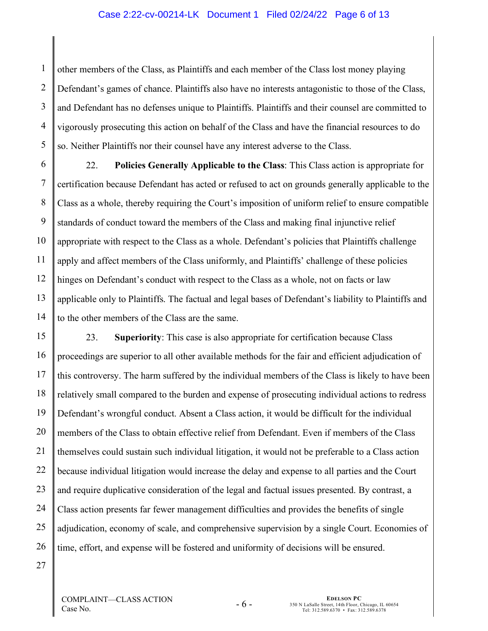#### Case 2:22-cv-00214-LK Document 1 Filed 02/24/22 Page 6 of 13

1 2 3 4 5 other members of the Class, as Plaintiffs and each member of the Class lost money playing Defendant's games of chance. Plaintiffs also have no interests antagonistic to those of the Class, and Defendant has no defenses unique to Plaintiffs. Plaintiffs and their counsel are committed to vigorously prosecuting this action on behalf of the Class and have the financial resources to do so. Neither Plaintiffs nor their counsel have any interest adverse to the Class.

6 7 8 9 10 11 12 13 14 22. **Policies Generally Applicable to the Class**: This Class action is appropriate for certification because Defendant has acted or refused to act on grounds generally applicable to the Class as a whole, thereby requiring the Court's imposition of uniform relief to ensure compatible standards of conduct toward the members of the Class and making final injunctive relief appropriate with respect to the Class as a whole. Defendant's policies that Plaintiffs challenge apply and affect members of the Class uniformly, and Plaintiffs' challenge of these policies hinges on Defendant's conduct with respect to the Class as a whole, not on facts or law applicable only to Plaintiffs. The factual and legal bases of Defendant's liability to Plaintiffs and to the other members of the Class are the same.

15 16 17 18 23. **Superiority**: This case is also appropriate for certification because Class proceedings are superior to all other available methods for the fair and efficient adjudication of this controversy. The harm suffered by the individual members of the Class is likely to have been relatively small compared to the burden and expense of prosecuting individual actions to redress Defendant's wrongful conduct. Absent a Class action, it would be difficult for the individual members of the Class to obtain effective relief from Defendant. Even if members of the Class themselves could sustain such individual litigation, it would not be preferable to a Class action because individual litigation would increase the delay and expense to all parties and the Court and require duplicative consideration of the legal and factual issues presented. By contrast, a Class action presents far fewer management difficulties and provides the benefits of single adjudication, economy of scale, and comprehensive supervision by a single Court. Economies of time, effort, and expense will be fostered and uniformity of decisions will be ensured.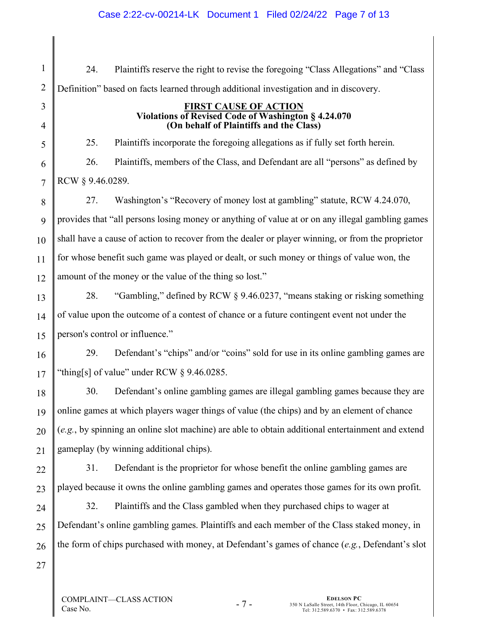24. Plaintiffs reserve the right to revise the foregoing "Class Allegations" and "Class Definition" based on facts learned through additional investigation and in discovery.

#### **FIRST CAUSE OF ACTION Violations of Revised Code of Washington § 4.24.070 (On behalf of Plaintiffs and the Class)**

25. Plaintiffs incorporate the foregoing allegations as if fully set forth herein. 26. Plaintiffs, members of the Class, and Defendant are all "persons" as defined by RCW § 9.46.0289.

8 9 10 11 12 27. Washington's "Recovery of money lost at gambling" statute, RCW 4.24.070, provides that "all persons losing money or anything of value at or on any illegal gambling games shall have a cause of action to recover from the dealer or player winning, or from the proprietor for whose benefit such game was played or dealt, or such money or things of value won, the amount of the money or the value of the thing so lost."

28. "Gambling," defined by RCW § 9.46.0237, "means staking or risking something of value upon the outcome of a contest of chance or a future contingent event not under the person's control or influence."

29. Defendant's "chips" and/or "coins" sold for use in its online gambling games are "thing[s] of value" under RCW  $\S$  9.46.0285.

30. Defendant's online gambling games are illegal gambling games because they are online games at which players wager things of value (the chips) and by an element of chance (*e.g.*, by spinning an online slot machine) are able to obtain additional entertainment and extend gameplay (by winning additional chips).

31. Defendant is the proprietor for whose benefit the online gambling games are played because it owns the online gambling games and operates those games for its own profit.

32. Plaintiffs and the Class gambled when they purchased chips to wager at Defendant's online gambling games. Plaintiffs and each member of the Class staked money, in the form of chips purchased with money, at Defendant's games of chance (*e.g.*, Defendant's slot

26 27

1

2

3

4

5

6

7

13

14

15

16

17

18

19

20

21

22

23

24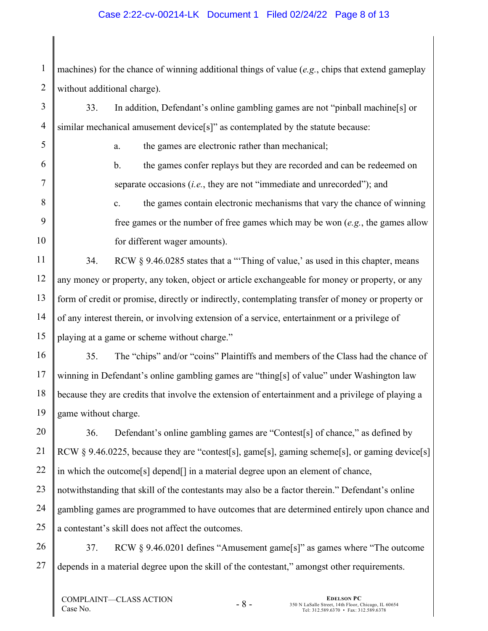### Case 2:22-cv-00214-LK Document 1 Filed 02/24/22 Page 8 of 13

1 2 machines) for the chance of winning additional things of value (*e.g.*, chips that extend gameplay without additional charge).

33. In addition, Defendant's online gambling games are not "pinball machine[s] or similar mechanical amusement device[s]" as contemplated by the statute because:

a. the games are electronic rather than mechanical;

b. the games confer replays but they are recorded and can be redeemed on separate occasions (*i.e.*, they are not "immediate and unrecorded"); and

c. the games contain electronic mechanisms that vary the chance of winning free games or the number of free games which may be won (*e.g.*, the games allow for different wager amounts).

34. RCW § 9.46.0285 states that a "'Thing of value,' as used in this chapter, means any money or property, any token, object or article exchangeable for money or property, or any form of credit or promise, directly or indirectly, contemplating transfer of money or property or of any interest therein, or involving extension of a service, entertainment or a privilege of playing at a game or scheme without charge."

35. The "chips" and/or "coins" Plaintiffs and members of the Class had the chance of winning in Defendant's online gambling games are "thing[s] of value" under Washington law because they are credits that involve the extension of entertainment and a privilege of playing a game without charge.

20 21 22 23 24 25 36. Defendant's online gambling games are "Contest[s] of chance," as defined by RCW  $\S$  9.46.0225, because they are "contest[s], game[s], gaming scheme[s], or gaming device[s] in which the outcome[s] depend[] in a material degree upon an element of chance, notwithstanding that skill of the contestants may also be a factor therein." Defendant's online gambling games are programmed to have outcomes that are determined entirely upon chance and a contestant's skill does not affect the outcomes.

26 27 37. RCW § 9.46.0201 defines "Amusement game[s]" as games where "The outcome depends in a material degree upon the skill of the contestant," amongst other requirements.

- 8 -

3

4

5

6

7

8

9

10

11

12

13

14

15

16

17

18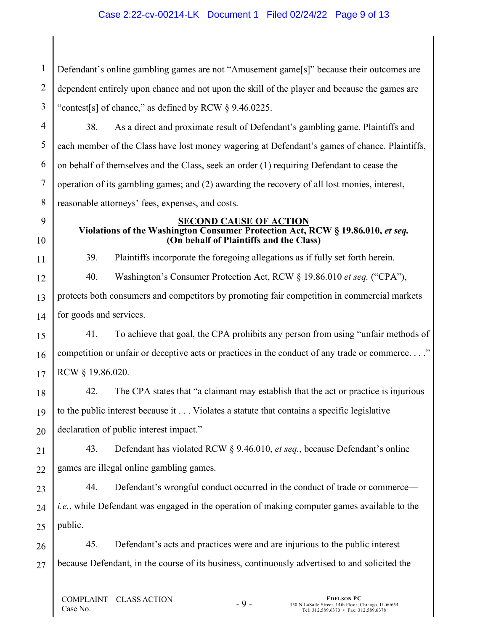### Case 2:22-cv-00214-LK Document 1 Filed 02/24/22 Page 9 of 13

1 2 3 Defendant's online gambling games are not "Amusement game[s]" because their outcomes are dependent entirely upon chance and not upon the skill of the player and because the games are "contest[s] of chance," as defined by RCW § 9.46.0225.

4 5 6 7 8 38. As a direct and proximate result of Defendant's gambling game, Plaintiffs and each member of the Class have lost money wagering at Defendant's games of chance. Plaintiffs, on behalf of themselves and the Class, seek an order (1) requiring Defendant to cease the operation of its gambling games; and (2) awarding the recovery of all lost monies, interest, reasonable attorneys' fees, expenses, and costs.

### **SECOND CAUSE OF ACTION**

# **Violations of the Washington Consumer Protection Act, RCW § 19.86.010,** *et seq.* **(On behalf of Plaintiffs and the Class)**

39. Plaintiffs incorporate the foregoing allegations as if fully set forth herein.

40. Washington's Consumer Protection Act, RCW § 19.86.010 *et seq.* ("CPA"),

protects both consumers and competitors by promoting fair competition in commercial markets for goods and services.

41. To achieve that goal, the CPA prohibits any person from using "unfair methods of competition or unfair or deceptive acts or practices in the conduct of any trade or commerce. . . ." RCW § 19.86.020.

42. The CPA states that "a claimant may establish that the act or practice is injurious to the public interest because it . . . Violates a statute that contains a specific legislative declaration of public interest impact."

21 22 43. Defendant has violated RCW § 9.46.010, *et seq.*, because Defendant's online games are illegal online gambling games.

23 24 25 44. Defendant's wrongful conduct occurred in the conduct of trade or commerce *i.e.*, while Defendant was engaged in the operation of making computer games available to the public.

26 27 45. Defendant's acts and practices were and are injurious to the public interest because Defendant, in the course of its business, continuously advertised to and solicited the

9

10

11

12

13

14

15

16

17

18

19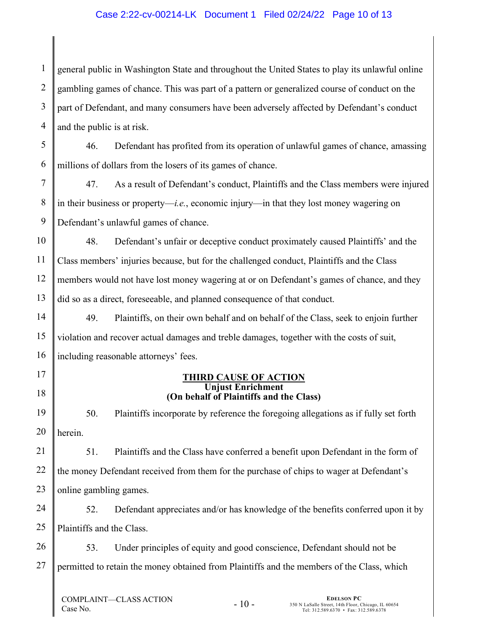### Case 2:22-cv-00214-LK Document 1 Filed 02/24/22 Page 10 of 13

1 2 3 4 general public in Washington State and throughout the United States to play its unlawful online gambling games of chance. This was part of a pattern or generalized course of conduct on the part of Defendant, and many consumers have been adversely affected by Defendant's conduct and the public is at risk.

5 6 46. Defendant has profited from its operation of unlawful games of chance, amassing millions of dollars from the losers of its games of chance.

7 8 9 47. As a result of Defendant's conduct, Plaintiffs and the Class members were injured in their business or property—*i.e.*, economic injury—in that they lost money wagering on Defendant's unlawful games of chance.

10 11 12 13 48. Defendant's unfair or deceptive conduct proximately caused Plaintiffs' and the Class members' injuries because, but for the challenged conduct, Plaintiffs and the Class members would not have lost money wagering at or on Defendant's games of chance, and they did so as a direct, foreseeable, and planned consequence of that conduct.

49. Plaintiffs, on their own behalf and on behalf of the Class, seek to enjoin further violation and recover actual damages and treble damages, together with the costs of suit, including reasonable attorneys' fees.

#### **THIRD CAUSE OF ACTION Unjust Enrichment (On behalf of Plaintiffs and the Class)**

50. Plaintiffs incorporate by reference the foregoing allegations as if fully set forth herein.

21 22 23 51. Plaintiffs and the Class have conferred a benefit upon Defendant in the form of the money Defendant received from them for the purchase of chips to wager at Defendant's online gambling games.

24 25 52. Defendant appreciates and/or has knowledge of the benefits conferred upon it by Plaintiffs and the Class.

26 27 53. Under principles of equity and good conscience, Defendant should not be permitted to retain the money obtained from Plaintiffs and the members of the Class, which

14

15

16

17

18

19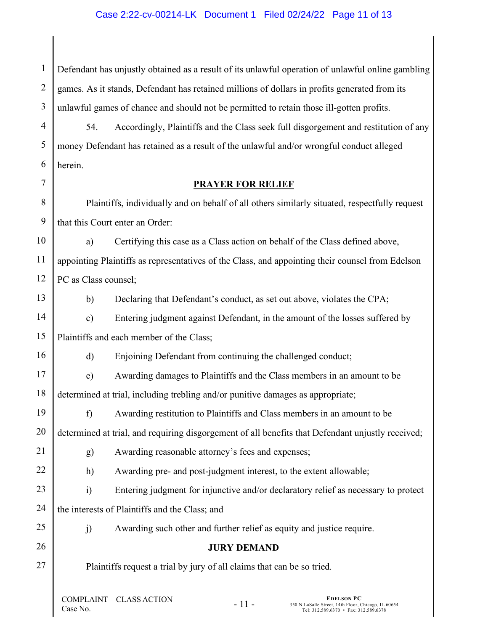1 2 3 Defendant has unjustly obtained as a result of its unlawful operation of unlawful online gambling games. As it stands, Defendant has retained millions of dollars in profits generated from its unlawful games of chance and should not be permitted to retain those ill-gotten profits.

54. Accordingly, Plaintiffs and the Class seek full disgorgement and restitution of any money Defendant has retained as a result of the unlawful and/or wrongful conduct alleged herein.

### **PRAYER FOR RELIEF**

8 9 Plaintiffs, individually and on behalf of all others similarly situated, respectfully request that this Court enter an Order:

10 11 12 a) Certifying this case as a Class action on behalf of the Class defined above, appointing Plaintiffs as representatives of the Class, and appointing their counsel from Edelson PC as Class counsel;

b) Declaring that Defendant's conduct, as set out above, violates the CPA;

14 15 c) Entering judgment against Defendant, in the amount of the losses suffered by Plaintiffs and each member of the Class;

d) Enjoining Defendant from continuing the challenged conduct;

17 18 e) Awarding damages to Plaintiffs and the Class members in an amount to be determined at trial, including trebling and/or punitive damages as appropriate;

19 20 f) Awarding restitution to Plaintiffs and Class members in an amount to be determined at trial, and requiring disgorgement of all benefits that Defendant unjustly received;

g) Awarding reasonable attorney's fees and expenses;

h) Awarding pre- and post-judgment interest, to the extent allowable;

23 24 i) Entering judgment for injunctive and/or declaratory relief as necessary to protect the interests of Plaintiffs and the Class; and

25

21

22

4

5

6

7

13

16

26

27

j) Awarding such other and further relief as equity and justice require.

# **JURY DEMAND**

Plaintiffs request a trial by jury of all claims that can be so tried.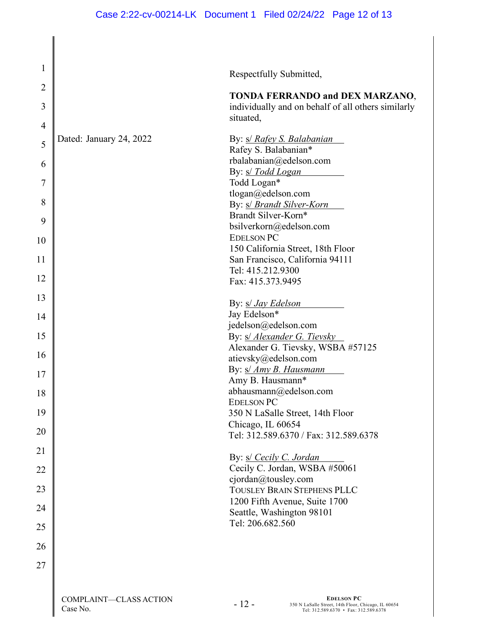| $\mathbf{1}$   |                                    | Respectfully Submitted,                                                                                                     |
|----------------|------------------------------------|-----------------------------------------------------------------------------------------------------------------------------|
| $\overline{2}$ |                                    |                                                                                                                             |
| 3              |                                    | <b>TONDA FERRANDO and DEX MARZANO,</b><br>individually and on behalf of all others similarly<br>situated,                   |
| $\overline{4}$ |                                    |                                                                                                                             |
| 5              | Dated: January 24, 2022            | By: <i>s/ Rafey S. Balabanian</i><br>Rafey S. Balabanian*                                                                   |
| 6              |                                    | rbalabanian@edelson.com<br>By: s/ Todd Logan                                                                                |
| 7              |                                    | Todd Logan*                                                                                                                 |
| 8              |                                    | tlogan@edelson.com<br>By: s/ Brandt Silver-Korn                                                                             |
| 9              |                                    | Brandt Silver-Korn*<br>bsilverkorn@edelson.com                                                                              |
| 10             |                                    | <b>EDELSON PC</b>                                                                                                           |
|                |                                    | 150 California Street, 18th Floor                                                                                           |
| 11             |                                    | San Francisco, California 94111                                                                                             |
| 12             |                                    | Tel: 415.212.9300                                                                                                           |
|                |                                    | Fax: 415.373.9495                                                                                                           |
| 13             |                                    | By: <i>s/ Jay Edelson</i>                                                                                                   |
| 14             |                                    | Jay Edelson*                                                                                                                |
|                |                                    | jedelson@edelson.com                                                                                                        |
| 15             |                                    | By: <i>s/ Alexander G. Tievsky</i>                                                                                          |
| 16             |                                    | Alexander G. Tievsky, WSBA #57125                                                                                           |
|                |                                    | atievsky@edelson.com<br>By: s/ Amy B. Hausmann                                                                              |
| 17             |                                    | Amy B. Hausmann*                                                                                                            |
| 18             |                                    | abhausmann@edelson.com                                                                                                      |
| 19             |                                    | <b>EDELSON PC</b>                                                                                                           |
|                |                                    | 350 N LaSalle Street, 14th Floor<br>Chicago, IL 60654                                                                       |
| 20             |                                    | Tel: 312.589.6370 / Fax: 312.589.6378                                                                                       |
| 21             |                                    | By: s/ Cecily C. Jordan                                                                                                     |
| 22             |                                    | Cecily C. Jordan, WSBA #50061                                                                                               |
| 23             |                                    | cjordan@tousley.com<br>TOUSLEY BRAIN STEPHENS PLLC                                                                          |
| 24             |                                    | 1200 Fifth Avenue, Suite 1700<br>Seattle, Washington 98101                                                                  |
| 25             |                                    | Tel: 206.682.560                                                                                                            |
| 26             |                                    |                                                                                                                             |
| 27             |                                    |                                                                                                                             |
|                |                                    |                                                                                                                             |
|                | COMPLAINT-CLASS ACTION<br>Case No. | <b>EDELSON PC</b><br>$-12-$<br>350 N LaSalle Street, 14th Floor, Chicago, IL 60654<br>Tel: 312.589.6370 • Fax: 312.589.6378 |